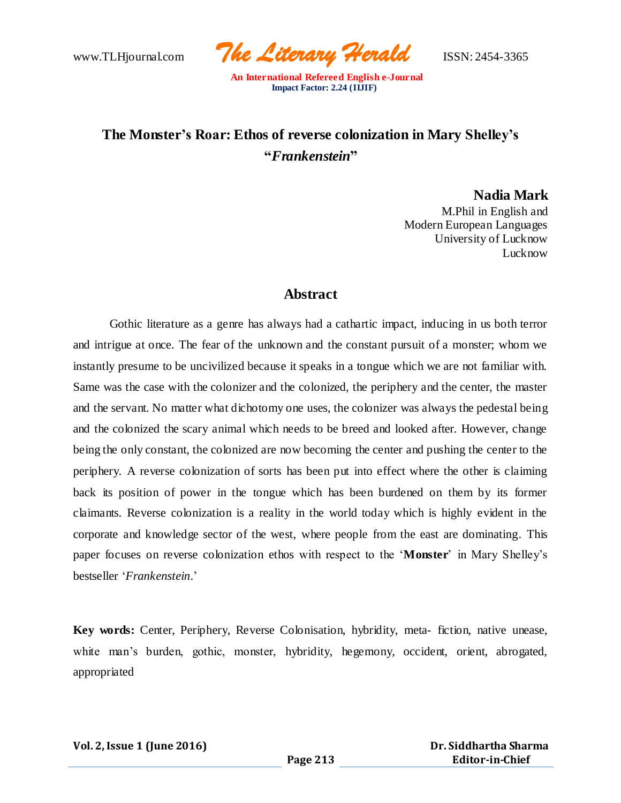www.TLHjournal.com *The Literary Herald*ISSN: 2454-3365

# **The Monster's Roar: Ethos of reverse colonization in Mary Shelley's "***Frankenstein***"**

**Nadia Mark**

M.Phil in English and Modern European Languages University of Lucknow Lucknow

# **Abstract**

Gothic literature as a genre has always had a cathartic impact, inducing in us both terror and intrigue at once. The fear of the unknown and the constant pursuit of a monster; whom we instantly presume to be uncivilized because it speaks in a tongue which we are not familiar with. Same was the case with the colonizer and the colonized, the periphery and the center, the master and the servant. No matter what dichotomy one uses, the colonizer was always the pedestal being and the colonized the scary animal which needs to be breed and looked after. However, change being the only constant, the colonized are now becoming the center and pushing the center to the periphery. A reverse colonization of sorts has been put into effect where the other is claiming back its position of power in the tongue which has been burdened on them by its former claimants. Reverse colonization is a reality in the world today which is highly evident in the corporate and knowledge sector of the west, where people from the east are dominating. This paper focuses on reverse colonization ethos with respect to the '**Monster**' in Mary Shelley's bestseller '*Frankenstein*.'

**Key words:** Center, Periphery, Reverse Colonisation, hybridity, meta- fiction, native unease, white man's burden, gothic, monster, hybridity, hegemony, occident, orient, abrogated, appropriated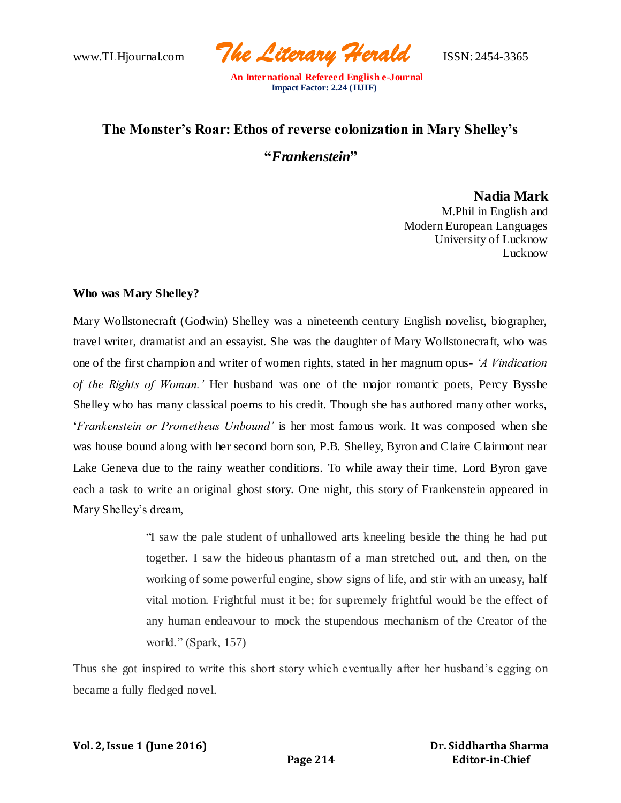www.TLHjournal.com *The Literary Herald*ISSN: 2454-3365

# **The Monster's Roar: Ethos of reverse colonization in Mary Shelley's**

**"***Frankenstein***"**

**Nadia Mark**

M.Phil in English and Modern European Languages University of Lucknow Lucknow

## **Who was Mary Shelley?**

Mary Wollstonecraft (Godwin) Shelley was a nineteenth century English novelist, biographer, travel writer, dramatist and an essayist. She was the daughter of Mary Wollstonecraft, who was one of the first champion and writer of women rights, stated in her magnum opus- *'A Vindication of the Rights of Woman.'* Her husband was one of the major romantic poets, Percy Bysshe Shelley who has many classical poems to his credit. Though she has authored many other works, '*Frankenstein or Prometheus Unbound'* is her most famous work. It was composed when she was house bound along with her second born son, P.B. Shelley, Byron and Claire Clairmont near Lake Geneva due to the rainy weather conditions. To while away their time, Lord Byron gave each a task to write an original ghost story. One night, this story of Frankenstein appeared in Mary Shelley's dream,

> "I saw the pale student of unhallowed arts kneeling beside the thing he had put together. I saw the hideous phantasm of a man stretched out, and then, on the working of some powerful engine, show signs of life, and stir with an uneasy, half vital motion. Frightful must it be; for supremely frightful would be the effect of any human endeavour to mock the stupendous mechanism of the Creator of the world." (Spark, 157)

Thus she got inspired to write this short story which eventually after her husband's egging on became a fully fledged novel.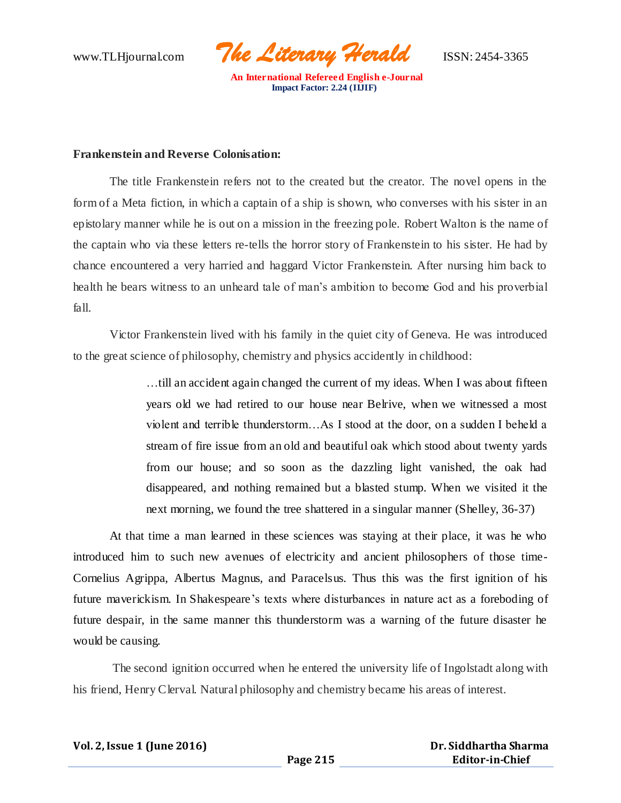www.TLHjournal.com *The Literary Herald*ISSN: 2454-3365

#### **Frankenstein and Reverse Colonisation:**

The title Frankenstein refers not to the created but the creator. The novel opens in the form of a Meta fiction, in which a captain of a ship is shown, who converses with his sister in an epistolary manner while he is out on a mission in the freezing pole. Robert Walton is the name of the captain who via these letters re-tells the horror story of Frankenstein to his sister. He had by chance encountered a very harried and haggard Victor Frankenstein. After nursing him back to health he bears witness to an unheard tale of man's ambition to become God and his proverbial fall.

Victor Frankenstein lived with his family in the quiet city of Geneva. He was introduced to the great science of philosophy, chemistry and physics accidently in childhood:

> …till an accident again changed the current of my ideas. When I was about fifteen years old we had retired to our house near Belrive, when we witnessed a most violent and terrible thunderstorm…As I stood at the door, on a sudden I beheld a stream of fire issue from an old and beautiful oak which stood about twenty yards from our house; and so soon as the dazzling light vanished, the oak had disappeared, and nothing remained but a blasted stump. When we visited it the next morning, we found the tree shattered in a singular manner (Shelley, 36-37)

At that time a man learned in these sciences was staying at their place, it was he who introduced him to such new avenues of electricity and ancient philosophers of those time-Cornelius Agrippa, Albertus Magnus, and Paracelsus. Thus this was the first ignition of his future maverickism. In Shakespeare's texts where disturbances in nature act as a foreboding of future despair, in the same manner this thunderstorm was a warning of the future disaster he would be causing.

The second ignition occurred when he entered the university life of Ingolstadt along with his friend, Henry Clerval. Natural philosophy and chemistry became his areas of interest.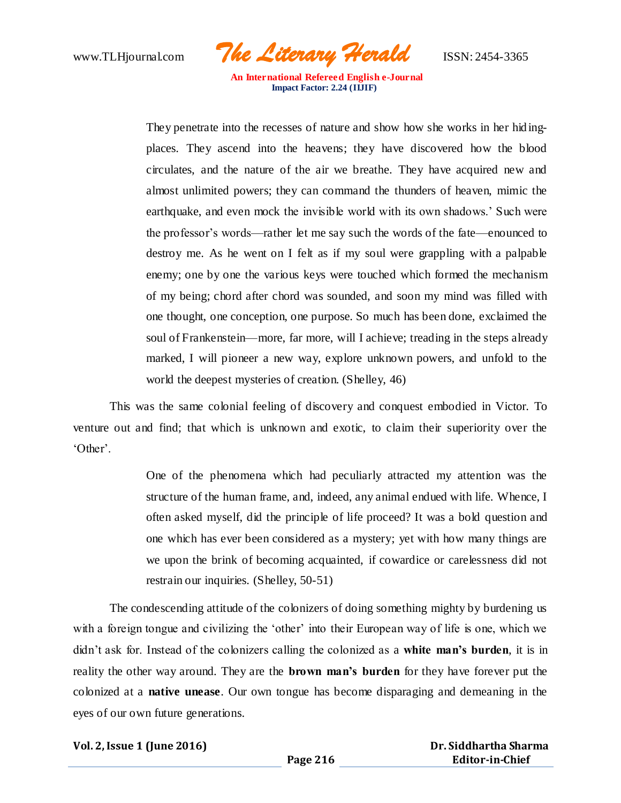www.TLHjournal.com *The Literary Herald*ISSN: 2454-3365

They penetrate into the recesses of nature and show how she works in her hid ingplaces. They ascend into the heavens; they have discovered how the blood circulates, and the nature of the air we breathe. They have acquired new and almost unlimited powers; they can command the thunders of heaven, mimic the earthquake, and even mock the invisible world with its own shadows.' Such were the professor's words—rather let me say such the words of the fate—enounced to destroy me. As he went on I felt as if my soul were grappling with a palpable enemy; one by one the various keys were touched which formed the mechanism of my being; chord after chord was sounded, and soon my mind was filled with one thought, one conception, one purpose. So much has been done, exclaimed the soul of Frankenstein—more, far more, will I achieve; treading in the steps already marked, I will pioneer a new way, explore unknown powers, and unfold to the world the deepest mysteries of creation. (Shelley, 46)

This was the same colonial feeling of discovery and conquest embodied in Victor. To venture out and find; that which is unknown and exotic, to claim their superiority over the 'Other'.

> One of the phenomena which had peculiarly attracted my attention was the structure of the human frame, and, indeed, any animal endued with life. Whence, I often asked myself, did the principle of life proceed? It was a bold question and one which has ever been considered as a mystery; yet with how many things are we upon the brink of becoming acquainted, if cowardice or carelessness did not restrain our inquiries. (Shelley, 50-51)

The condescending attitude of the colonizers of doing something mighty by burdening us with a foreign tongue and civilizing the 'other' into their European way of life is one, which we didn't ask for. Instead of the colonizers calling the colonized as a **white man's burden**, it is in reality the other way around. They are the **brown man's burden** for they have forever put the colonized at a **native unease**. Our own tongue has become disparaging and demeaning in the eyes of our own future generations.

**Vol. 2, Issue 1 (June 2016)**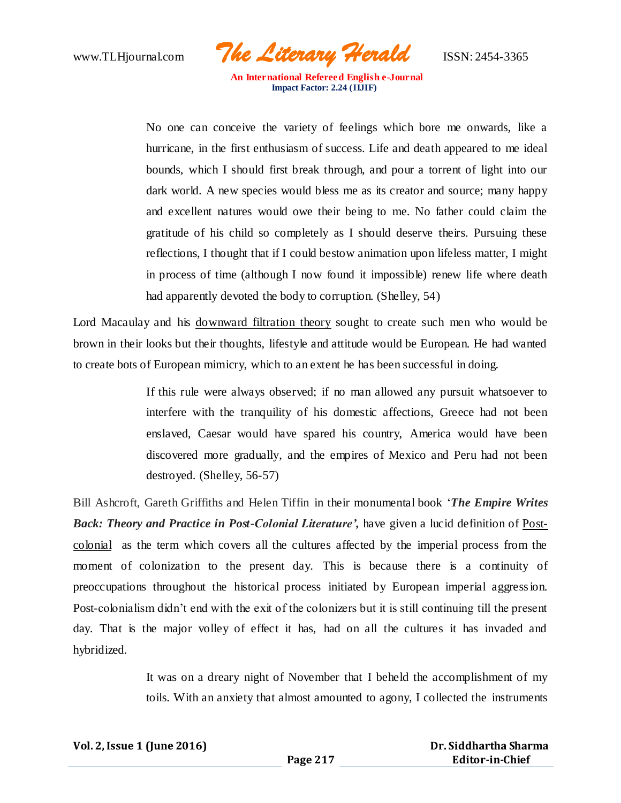www.TLHjournal.com *The Literary Herald*ISSN: 2454-3365

No one can conceive the variety of feelings which bore me onwards, like a hurricane, in the first enthusiasm of success. Life and death appeared to me ideal bounds, which I should first break through, and pour a torrent of light into our dark world. A new species would bless me as its creator and source; many happy and excellent natures would owe their being to me. No father could claim the gratitude of his child so completely as I should deserve theirs. Pursuing these reflections, I thought that if I could bestow animation upon lifeless matter, I might in process of time (although I now found it impossible) renew life where death had apparently devoted the body to corruption. (Shelley, 54)

Lord Macaulay and his downward filtration theory sought to create such men who would be brown in their looks but their thoughts, lifestyle and attitude would be European. He had wanted to create bots of European mimicry, which to an extent he has been successful in doing.

> If this rule were always observed; if no man allowed any pursuit whatsoever to interfere with the tranquility of his domestic affections, Greece had not been enslaved, Caesar would have spared his country, America would have been discovered more gradually, and the empires of Mexico and Peru had not been destroyed. (Shelley, 56-57)

Bill Ashcroft, Gareth Griffiths and Helen Tiffin in their monumental book '*The Empire Writes Back: Theory and Practice in Post-Colonial Literature',* have given a lucid definition of Postcolonial as the term which covers all the cultures affected by the imperial process from the moment of colonization to the present day. This is because there is a continuity of preoccupations throughout the historical process initiated by European imperial aggression. Post-colonialism didn't end with the exit of the colonizers but it is still continuing till the present day. That is the major volley of effect it has, had on all the cultures it has invaded and hybridized.

> It was on a dreary night of November that I beheld the accomplishment of my toils. With an anxiety that almost amounted to agony, I collected the instruments

|  |  | Vol. 2, Issue 1 (June 2016) |  |
|--|--|-----------------------------|--|
|--|--|-----------------------------|--|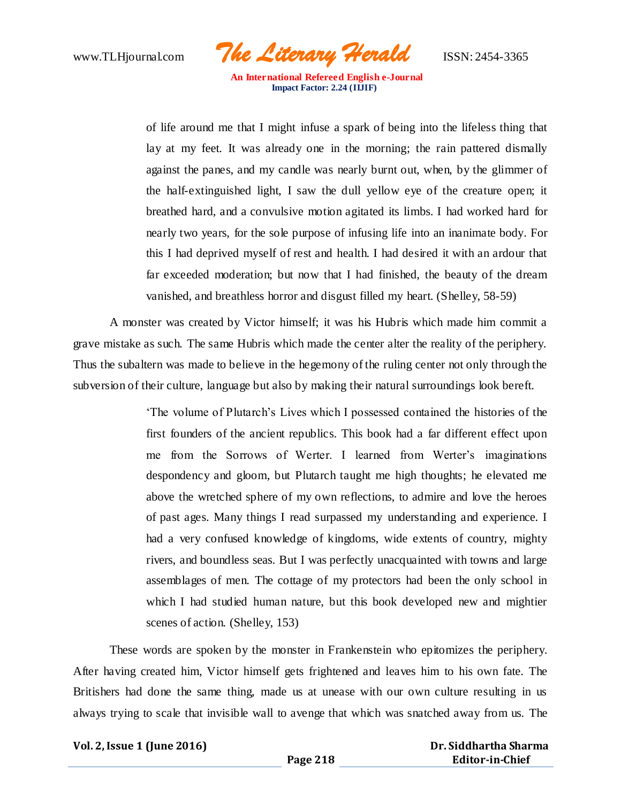www.TLHjournal.com *The Literary Herald*ISSN: 2454-3365

of life around me that I might infuse a spark of being into the lifeless thing that lay at my feet. It was already one in the morning; the rain pattered dismally against the panes, and my candle was nearly burnt out, when, by the glimmer of the half-extinguished light, I saw the dull yellow eye of the creature open; it breathed hard, and a convulsive motion agitated its limbs. I had worked hard for nearly two years, for the sole purpose of infusing life into an inanimate body. For this I had deprived myself of rest and health. I had desired it with an ardour that far exceeded moderation; but now that I had finished, the beauty of the dream vanished, and breathless horror and disgust filled my heart. (Shelley, 58-59)

A monster was created by Victor himself; it was his Hubris which made him commit a grave mistake as such. The same Hubris which made the center alter the reality of the periphery. Thus the subaltern was made to believe in the hegemony of the ruling center not only through the subversion of their culture, language but also by making their natural surroundings look bereft.

> 'The volume of Plutarch's Lives which I possessed contained the histories of the first founders of the ancient republics. This book had a far different effect upon me from the Sorrows of Werter. I learned from Werter's imaginations despondency and gloom, but Plutarch taught me high thoughts; he elevated me above the wretched sphere of my own reflections, to admire and love the heroes of past ages. Many things I read surpassed my understanding and experience. I had a very confused knowledge of kingdoms, wide extents of country, mighty rivers, and boundless seas. But I was perfectly unacquainted with towns and large assemblages of men. The cottage of my protectors had been the only school in which I had studied human nature, but this book developed new and mightier scenes of action. (Shelley, 153)

These words are spoken by the monster in Frankenstein who epitomizes the periphery. After having created him, Victor himself gets frightened and leaves him to his own fate. The Britishers had done the same thing, made us at unease with our own culture resulting in us always trying to scale that invisible wall to avenge that which was snatched away from us. The

#### **Vol. 2, Issue 1 (June 2016)**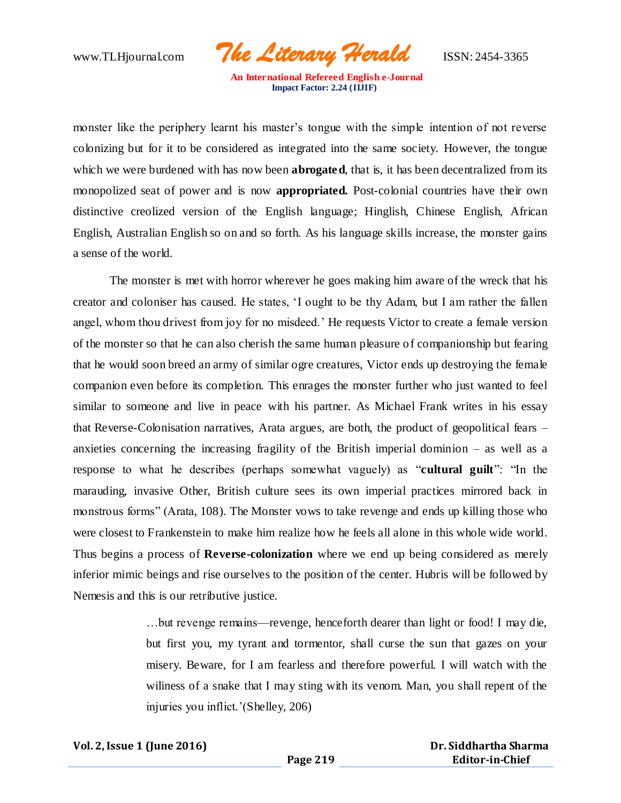www.TLHjournal.com *The Literary Herald*ISSN: 2454-3365

monster like the periphery learnt his master's tongue with the simple intention of not reverse colonizing but for it to be considered as integrated into the same society. However, the tongue which we were burdened with has now been **abrogated**, that is, it has been decentralized from its monopolized seat of power and is now **appropriated.** Post-colonial countries have their own distinctive creolized version of the English language; Hinglish, Chinese English, African English, Australian English so on and so forth. As his language skills increase, the monster gains a sense of the world.

The monster is met with horror wherever he goes making him aware of the wreck that his creator and coloniser has caused. He states, 'I ought to be thy Adam, but I am rather the fallen angel, whom thou drivest from joy for no misdeed.' He requests Victor to create a female version of the monster so that he can also cherish the same human pleasure of companionship but fearing that he would soon breed an army of similar ogre creatures, Victor ends up destroying the female companion even before its completion. This enrages the monster further who just wanted to feel similar to someone and live in peace with his partner. As Michael Frank writes in his essay that Reverse-Colonisation narratives, Arata argues, are both, the product of geopolitical fears – anxieties concerning the increasing fragility of the British imperial dominion – as well as a response to what he describes (perhaps somewhat vaguely) as "**cultural guilt**": "In the marauding, invasive Other, British culture sees its own imperial practices mirrored back in monstrous forms" (Arata, 108). The Monster vows to take revenge and ends up killing those who were closest to Frankenstein to make him realize how he feels all alone in this whole wide world. Thus begins a process of **Reverse-colonization** where we end up being considered as merely inferior mimic beings and rise ourselves to the position of the center. Hubris will be followed by Nemesis and this is our retributive justice.

> …but revenge remains—revenge, henceforth dearer than light or food! I may die, but first you, my tyrant and tormentor, shall curse the sun that gazes on your misery. Beware, for I am fearless and therefore powerful. I will watch with the wiliness of a snake that I may sting with its venom. Man, you shall repent of the injuries you inflict.'(Shelley, 206)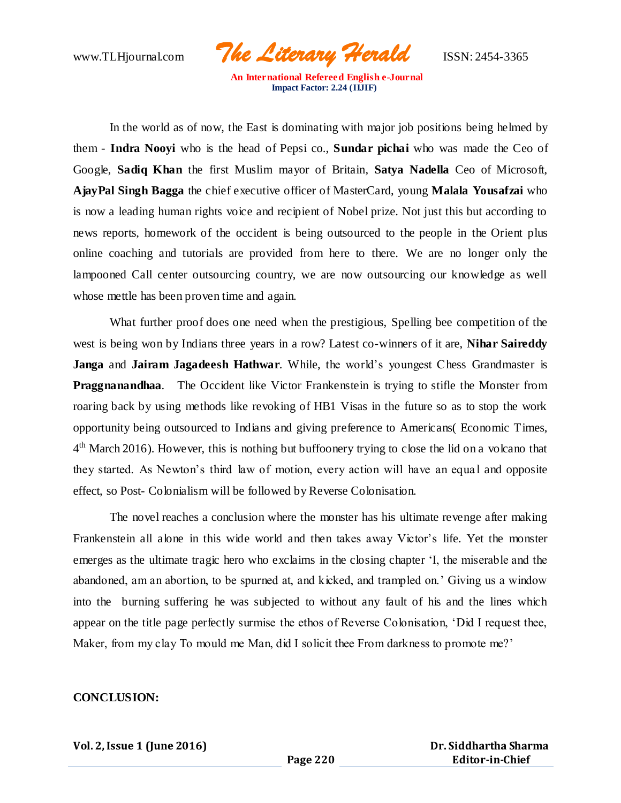www.TLHjournal.com *The Literary Herald*ISSN: 2454-3365

In the world as of now, the East is dominating with major job positions being helmed by them - **Indra Nooyi** who is the head of Pepsi co., **Sundar pichai** who was made the Ceo of Google, **Sadiq Khan** the first Muslim mayor of Britain, **Satya Nadella** Ceo of Microsoft, **AjayPal Singh Bagga** the chief executive officer of MasterCard, young **Malala Yousafzai** who is now a leading human rights voice and recipient of Nobel prize. Not just this but according to news reports, homework of the occident is being outsourced to the people in the Orient plus online coaching and tutorials are provided from here to there. We are no longer only the lampooned Call center outsourcing country, we are now outsourcing our knowledge as well whose mettle has been proven time and again.

What further proof does one need when the prestigious, Spelling bee competition of the west is being won by Indians three years in a row? Latest co-winners of it are, **Nihar Saireddy Janga** and **Jairam Jagadeesh Hathwar**. While, the world's youngest Chess Grandmaster is **Praggnanandhaa**. The Occident like Victor Frankenstein is trying to stifle the Monster from roaring back by using methods like revoking of HB1 Visas in the future so as to stop the work opportunity being outsourced to Indians and giving preference to Americans( Economic Times,  $4<sup>th</sup>$  March 2016). However, this is nothing but buffoonery trying to close the lid on a volcano that they started. As Newton's third law of motion, every action will have an equal and opposite effect, so Post- Colonialism will be followed by Reverse Colonisation.

The novel reaches a conclusion where the monster has his ultimate revenge after making Frankenstein all alone in this wide world and then takes away Victor's life. Yet the monster emerges as the ultimate tragic hero who exclaims in the closing chapter 'I, the miserable and the abandoned, am an abortion, to be spurned at, and kicked, and trampled on.' Giving us a window into the burning suffering he was subjected to without any fault of his and the lines which appear on the title page perfectly surmise the ethos of Reverse Colonisation, 'Did I request thee, Maker, from my clay To mould me Man, did I solicit thee From darkness to promote me?'

#### **CONCLUSION:**

**Vol. 2, Issue 1 (June 2016)**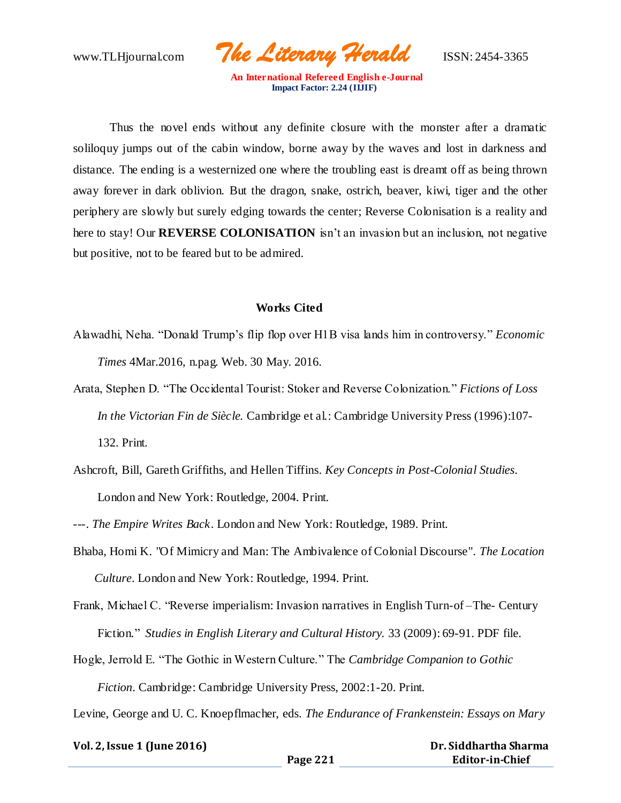www.TLHjournal.com *The Literary Herald*ISSN: 2454-3365

Thus the novel ends without any definite closure with the monster after a dramatic soliloquy jumps out of the cabin window, borne away by the waves and lost in darkness and distance. The ending is a westernized one where the troubling east is dreamt off as being thrown away forever in dark oblivion. But the dragon, snake, ostrich, beaver, kiwi, tiger and the other periphery are slowly but surely edging towards the center; Reverse Colonisation is a reality and here to stay! Our **REVERSE COLONISATION** isn't an invasion but an inclusion, not negative but positive, not to be feared but to be admired.

## **Works Cited**

- Alawadhi, Neha. "Donald Trump's flip flop over H1B visa lands him in controversy." *Economic Times* 4Mar.2016, n.pag. Web. 30 May. 2016.
- Arata, Stephen D. "The Occidental Tourist: Stoker and Reverse Colonization." *Fictions of Loss In the Victorian Fin de Siècle.* Cambridge et al.: Cambridge University Press (1996):107- 132. Print.
- Ashcroft, Bill, Gareth Griffiths, and Hellen Tiffins. *Key Concepts in Post-Colonial Studies*. London and New York: Routledge, 2004. Print.
- ---. *The Empire Writes Back*. London and New York: Routledge, 1989. Print.
- Bhaba, Homi K. "Of Mimicry and Man: The Ambivalence of Colonial Discourse". *The Location Culture*. London and New York: Routledge, 1994. Print.
- Frank, Michael C. "Reverse imperialism: Invasion narratives in English Turn-of –The- Century Fiction." *Studies in English Literary and Cultural History.* 33 (2009): 69-91. PDF file.
- Hogle, Jerrold E. "The Gothic in Western Culture." The *Cambridge Companion to Gothic Fiction*. Cambridge: Cambridge University Press, 2002:1-20. Print.

Levine, George and U. C. Knoepflmacher, eds. *The Endurance of Frankenstein: Essays on Mary* 

| Vol. 2, Issue 1 (June 2016) |          | Dr. Siddhartha Sharma  |  |
|-----------------------------|----------|------------------------|--|
|                             | Page 221 | <b>Editor-in-Chief</b> |  |